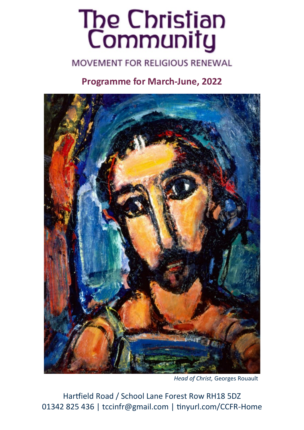# The Christian<br>Community

#### **MOVEMENT FOR RELIGIOUS RENEWAL**

#### **Programme for March-June, 2022**



*Head of Christ,* Georges Rouault

Hartfield Road / School Lane Forest Row RH18 5DZ 01342 825 436 | tccinfr@gmail.com | tinyurl.com/CCFR-Home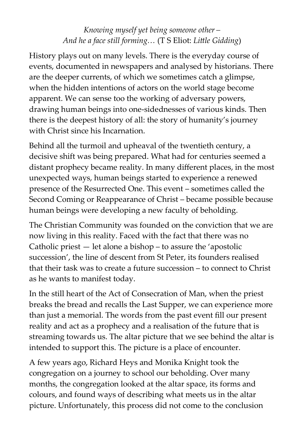#### *Knowing myself yet being someone other – And he a face still forming…* (T S Eliot: *Little Gidding*)

History plays out on many levels. There is the everyday course of events, documented in newspapers and analysed by historians. There are the deeper currents, of which we sometimes catch a glimpse, when the hidden intentions of actors on the world stage become apparent. We can sense too the working of adversary powers, drawing human beings into one-sidednesses of various kinds. Then there is the deepest history of all: the story of humanity's journey with Christ since his Incarnation.

Behind all the turmoil and upheaval of the twentieth century, a decisive shift was being prepared. What had for centuries seemed a distant prophecy became reality. In many different places, in the most unexpected ways, human beings started to experience a renewed presence of the Resurrected One. This event – sometimes called the Second Coming or Reappearance of Christ – became possible because human beings were developing a new faculty of beholding.

The Christian Community was founded on the conviction that we are now living in this reality. Faced with the fact that there was no Catholic priest — let alone a bishop – to assure the 'apostolic succession', the line of descent from St Peter, its founders realised that their task was to create a future succession – to connect to Christ as he wants to manifest today.

In the still heart of the Act of Consecration of Man, when the priest breaks the bread and recalls the Last Supper, we can experience more than just a memorial. The words from the past event fill our present reality and act as a prophecy and a realisation of the future that is streaming towards us. The altar picture that we see behind the altar is intended to support this. The picture is a place of encounter.

A few years ago, Richard Heys and Monika Knight took the congregation on a journey to school our beholding. Over many months, the congregation looked at the altar space, its forms and colours, and found ways of describing what meets us in the altar picture. Unfortunately, this process did not come to the conclusion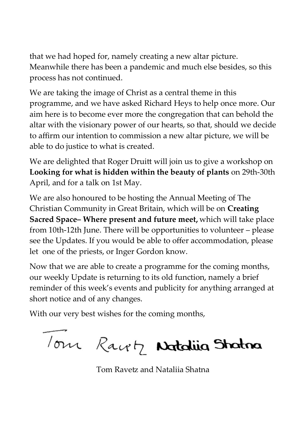that we had hoped for, namely creating a new altar picture. Meanwhile there has been a pandemic and much else besides, so this process has not continued.

We are taking the image of Christ as a central theme in this programme, and we have asked Richard Heys to help once more. Our aim here is to become ever more the congregation that can behold the altar with the visionary power of our hearts, so that, should we decide to affirm our intention to commission a new altar picture, we will be able to do justice to what is created.

We are delighted that Roger Druitt will join us to give a workshop on **Looking for what is hidden within the beauty of plants** on 29th-30th April, and for a talk on 1st May.

We are also honoured to be hosting the Annual Meeting of The Christian Community in Great Britain, which will be on **Creating Sacred Space– Where present and future meet,** which will take place from 10th-12th June. There will be opportunities to volunteer – please see the Updates. If you would be able to offer accommodation, please let one of the priests, or Inger Gordon know.

Now that we are able to create a programme for the coming months, our weekly Update is returning to its old function, namely a brief reminder of this week's events and publicity for anything arranged at short notice and of any changes.

With our very best wishes for the coming months,

Your Racetz Notaling Stratman

Tom Ravetz and Nataliia Shatna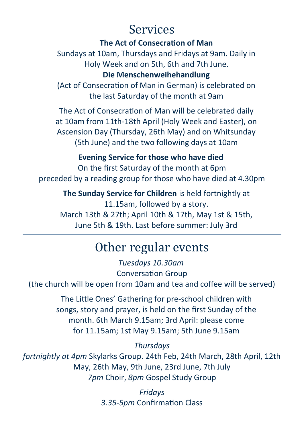## Services

#### **The Act of Consecration of Man**

Sundays at 10am, Thursdays and Fridays at 9am. Daily in Holy Week and on 5th, 6th and 7th June. **Die Menschenweihehandlung** 

(Act of Consecration of Man in German) is celebrated on the last Saturday of the month at 9am

The Act of Consecration of Man will be celebrated daily at 10am from 11th-18th April (Holy Week and Easter), on Ascension Day (Thursday, 26th May) and on Whitsunday (5th June) and the two following days at 10am

#### **Evening Service for those who have died**

On the first Saturday of the month at 6pm preceded by a reading group for those who have died at 4.30pm

**The Sunday Service for Children** is held fortnightly at 11.15am, followed by a story. March 13th & 27th; April 10th & 17th, May 1st & 15th, June 5th & 19th. Last before summer: July 3rd

## Other regular events

*Tuesdays 10.30am* Conversation Group (the church will be open from 10am and tea and coffee will be served)

> The Little Ones' Gathering for pre-school children with songs, story and prayer, is held on the first Sunday of the month. 6th March 9.15am; 3rd April: please come for 11.15am; 1st May 9.15am; 5th June 9.15am

> > *Thursdays*

*fortnightly at 4pm* Skylarks Group. 24th Feb, 24th March, 28th April, 12th May, 26th May, 9th June, 23rd June, 7th July *7pm* Choir, *8pm* Gospel Study Group

> *Fridays 3.35-5pm* Confirmation Class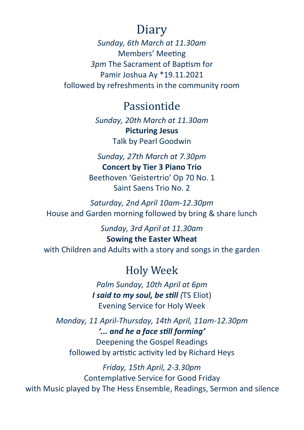## Diary

*Sunday, 6th March at 11.30am* Members' Meeting *3pm* The Sacrament of Baptism for Pamir Joshua Ay \*19.11.2021 followed by refreshments in the community room

#### Passiontide

*Sunday, 20th March at 11.30am* **Picturing Jesus**  Talk by Pearl Goodwin

*Sunday, 27th March at 7.30pm* **Concert by Tier 3 Piano Trio** Beethoven 'Geistertrio' Op 70 No. 1 Saint Saens Trio No. 2

*Saturday, 2nd April 10am-12.30pm* House and Garden morning followed by bring & share lunch

*Sunday, 3rd April at 11.30am* **Sowing the Easter Wheat** with Children and Adults with a story and songs in the garden

### Holy Week

*Palm Sunday, 10th April at 6pm I said to my soul, be still (*TS Eliot) Evening Service for Holy Week

*Monday, 11 April-Thursday, 14th April, 11am-12.30pm '... and he a face still forming'* Deepening the Gospel Readings followed by artistic activity led by Richard Heys

*Friday, 15th April, 2-3.30pm* Contemplative Service for Good Friday with Music played by The Hess Ensemble, Readings, Sermon and silence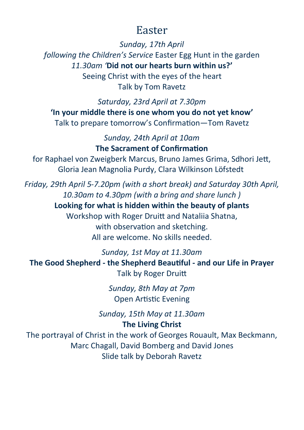### Easter

*Sunday, 17th April following the Children's Service* Easter Egg Hunt in the garden *11.30am '***Did not our hearts burn within us?'** Seeing Christ with the eyes of the heart Talk by Tom Ravetz

*Saturday, 23rd April at 7.30pm* **'In your middle there is one whom you do not yet know'**  Talk to prepare tomorrow's Confirmation—Tom Ravetz

> *Sunday, 24th April at 10am* **The Sacrament of Confirmation**

for Raphael von Zweigberk Marcus, Bruno James Grima, Sdhori Jett, Gloria Jean Magnolia Purdy, Clara Wilkinson Löfstedt

*Friday, 29th April 5-7.20pm (with a short break) and Saturday 30th April, 10.30am to 4.30pm (with a bring and share lunch )* **Looking for what is hidden within the beauty of plants** Workshop with Roger Druitt and Nataliia Shatna, with observation and sketching. All are welcome. No skills needed.

*Sunday, 1st May at 11.30am* **The Good Shepherd - the Shepherd Beautiful - and our Life in Prayer**  Talk by Roger Druitt

> *Sunday, 8th May at 7pm* Open Artistic Evening

*Sunday, 15th May at 11.30am* **The Living Christ**

The portrayal of Christ in the work of Georges Rouault, Max Beckmann, Marc Chagall, David Bomberg and David Jones Slide talk by Deborah Ravetz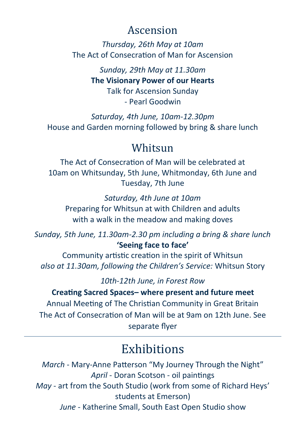## Ascension

*Thursday, 26th May at 10am* The Act of Consecration of Man for Ascension

> *Sunday, 29th May at 11.30am* **The Visionary Power of our Hearts** Talk for Ascension Sunday - Pearl Goodwin

*Saturday, 4th June, 10am-12.30pm* House and Garden morning followed by bring & share lunch

#### Whitsun

The Act of Consecration of Man will be celebrated at 10am on Whitsunday, 5th June, Whitmonday, 6th June and Tuesday, 7th June

*Saturday, 4th June at 10am* Preparing for Whitsun at with Children and adults with a walk in the meadow and making doves

*Sunday, 5th June, 11.30am-2.30 pm including a bring & share lunch* **'Seeing face to face'** 

Community artistic creation in the spirit of Whitsun *also at 11.30am, following the Children's Service:* Whitsun Story

*10th-12th June, in Forest Row*

**Creating Sacred Spaces– where present and future meet** Annual Meeting of The Christian Community in Great Britain The Act of Consecration of Man will be at 9am on 12th June. See separate flyer

# **Exhibitions**

*March* - Mary-Anne Patterson "My Journey Through the Night" *April* - Doran Scotson - oil paintings *May* - art from the South Studio (work from some of Richard Heys' students at Emerson) *June* - Katherine Small, South East Open Studio show